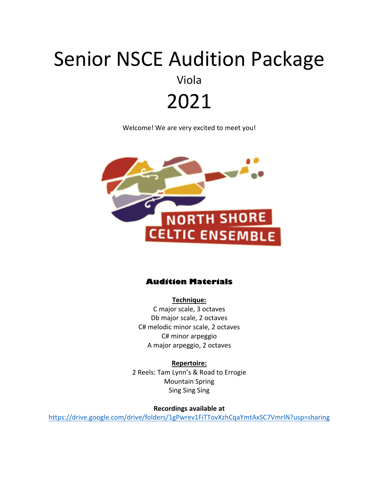# Senior NSCE Audition Package Viola 2021

Welcome! We are very excited to meet you!



#### **Audition Materials**

**Technique:** C major scale, 3 octaves Db major scale, 2 octaves C# melodic minor scale, 2 octaves C# minor arpeggio A major arpeggio, 2 octaves

**Repertoire:** 2 Reels: Tam Lynn's & Road to Errogie Mountain Spring Sing Sing Sing

**Recordings available at**

https://drive.google.com/drive/folders/1gPwrev1FiTTovXzhCqaYmtAxSC7VmrIN?usp=sharing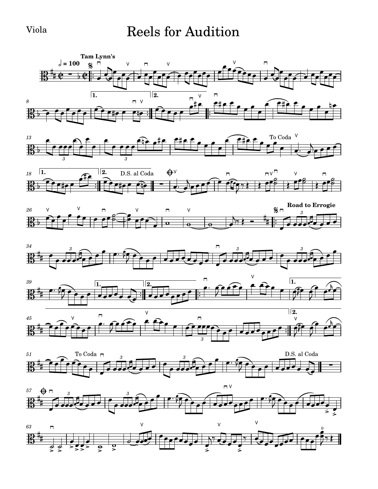#### Viola Reels for Audition

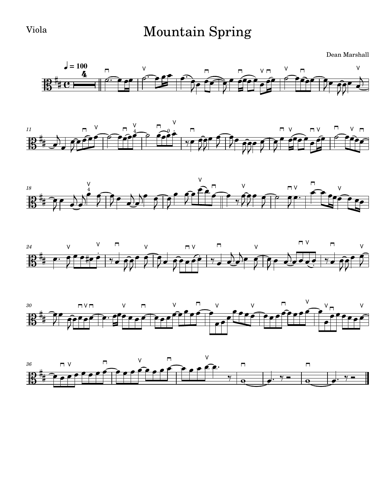### Viola Mountain Spring

Dean Marshall











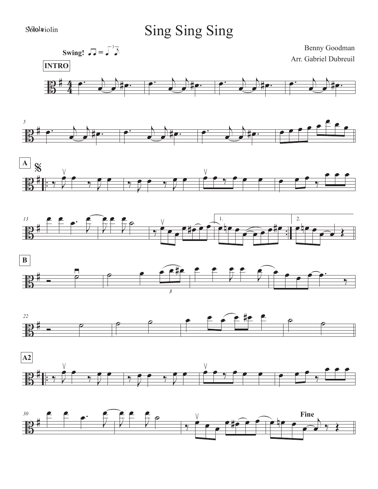#### Sbiolatiolin

## Sing Sing Sing















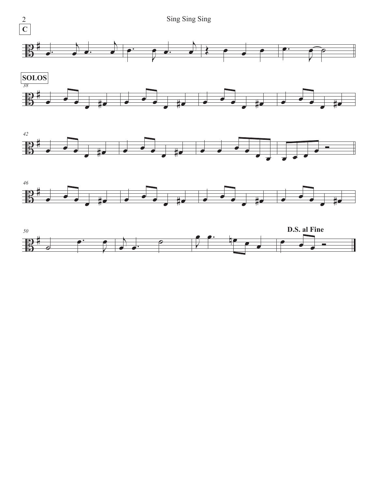